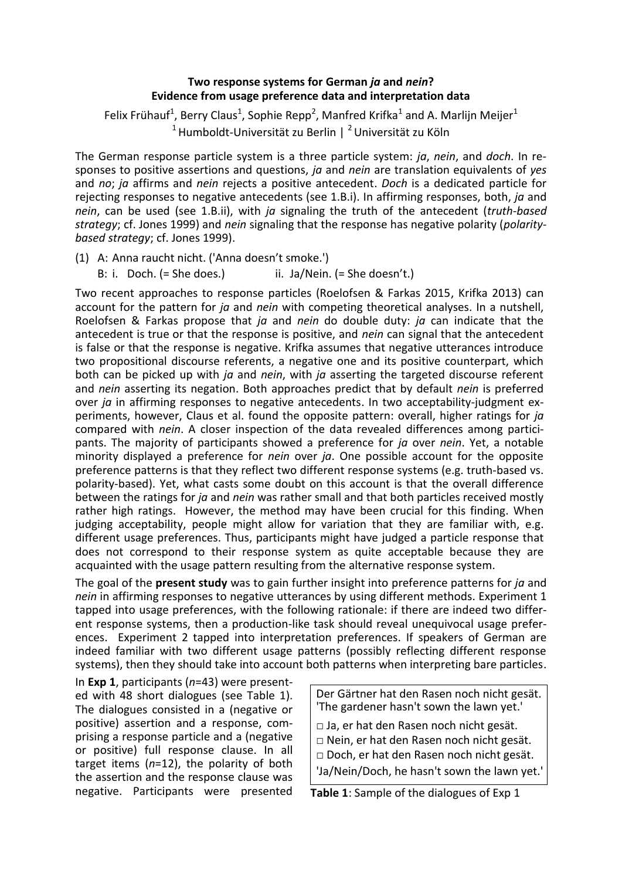## **Two response systems for German** *ja* **and** *nein***? Evidence from usage preference data and interpretation data**

Felix Frühauf<sup>1</sup>, Berry Claus<sup>1</sup>, Sophie Repp<sup>2</sup>, Manfred Krifka<sup>1</sup> and A. Marlijn Meijer<sup>1</sup> <sup>1</sup> Humboldt-Universität zu Berlin | <sup>2</sup> Universität zu Köln

The German response particle system is a three particle system: *ja*, *nein*, and *doch*. In responses to positive assertions and questions, *ja* and *nein* are translation equivalents of *yes* and *no*; *ja* affirms and *nein* rejects a positive antecedent. *Doch* is a dedicated particle for rejecting responses to negative antecedents (see 1.B.i). In affirming responses, both, *ja* and *nein*, can be used (see 1.B.ii), with *ja* signaling the truth of the antecedent (*truth-based strategy*; cf. Jones 1999) and *nein* signaling that the response has negative polarity (*polaritybased strategy*; cf. Jones 1999).

(1) A: Anna raucht nicht. ('Anna doesn't smoke.')

B: i. Doch. (= She does.) ii. Ja/Nein. (= She doesn't.)

Two recent approaches to response particles (Roelofsen & Farkas 2015, Krifka 2013) can account for the pattern for *ja* and *nein* with competing theoretical analyses. In a nutshell, Roelofsen & Farkas propose that *ja* and *nein* do double duty: *ja* can indicate that the antecedent is true or that the response is positive, and *nein* can signal that the antecedent is false or that the response is negative. Krifka assumes that negative utterances introduce two propositional discourse referents, a negative one and its positive counterpart, which both can be picked up with *ja* and *nein*, with *ja* asserting the targeted discourse referent and *nein* asserting its negation. Both approaches predict that by default *nein* is preferred over *ja* in affirming responses to negative antecedents. In two acceptability-judgment experiments, however, Claus et al. found the opposite pattern: overall, higher ratings for *ja* compared with *nein*. A closer inspection of the data revealed differences among participants. The majority of participants showed a preference for *ja* over *nein*. Yet, a notable minority displayed a preference for *nein* over *ja*. One possible account for the opposite preference patterns is that they reflect two different response systems (e.g. truth-based vs. polarity-based). Yet, what casts some doubt on this account is that the overall difference between the ratings for *ja* and *nein* was rather small and that both particles received mostly rather high ratings. However, the method may have been crucial for this finding. When judging acceptability, people might allow for variation that they are familiar with, e.g. different usage preferences. Thus, participants might have judged a particle response that does not correspond to their response system as quite acceptable because they are acquainted with the usage pattern resulting from the alternative response system.

The goal of the **present study** was to gain further insight into preference patterns for *ja* and *nein* in affirming responses to negative utterances by using different methods. Experiment 1 tapped into usage preferences, with the following rationale: if there are indeed two different response systems, then a production-like task should reveal unequivocal usage preferences. Experiment 2 tapped into interpretation preferences. If speakers of German are indeed familiar with two different usage patterns (possibly reflecting different response systems), then they should take into account both patterns when interpreting bare particles.

In **Exp 1**, participants (*n*=43) were presented with 48 short dialogues (see Table 1). The dialogues consisted in a (negative or positive) assertion and a response, comprising a response particle and a (negative or positive) full response clause. In all target items (*n*=12), the polarity of both the assertion and the response clause was negative. Participants were presented

Der Gärtner hat den Rasen noch nicht gesät. 'The gardener hasn't sown the lawn yet.'

□ Ja, er hat den Rasen noch nicht gesät.

□ Nein, er hat den Rasen noch nicht gesät.

□ Doch, er hat den Rasen noch nicht gesät.

'Ja/Nein/Doch, he hasn't sown the lawn yet.'

**Table 1**: Sample of the dialogues of Exp 1